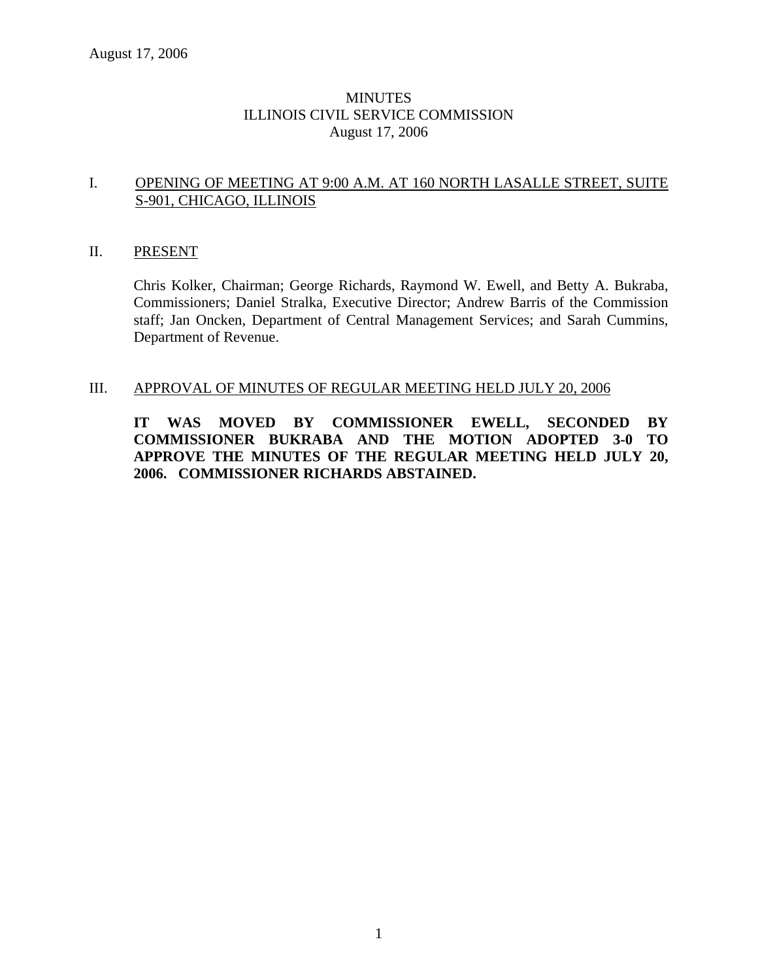# **MINUTES** ILLINOIS CIVIL SERVICE COMMISSION August 17, 2006

# I. OPENING OF MEETING AT 9:00 A.M. AT 160 NORTH LASALLE STREET, SUITE S-901, CHICAGO, ILLINOIS

### II. PRESENT

Chris Kolker, Chairman; George Richards, Raymond W. Ewell, and Betty A. Bukraba, Commissioners; Daniel Stralka, Executive Director; Andrew Barris of the Commission staff; Jan Oncken, Department of Central Management Services; and Sarah Cummins, Department of Revenue.

# III. APPROVAL OF MINUTES OF REGULAR MEETING HELD JULY 20, 2006

**IT WAS MOVED BY COMMISSIONER EWELL, SECONDED BY COMMISSIONER BUKRABA AND THE MOTION ADOPTED 3-0 TO APPROVE THE MINUTES OF THE REGULAR MEETING HELD JULY 20, 2006. COMMISSIONER RICHARDS ABSTAINED.**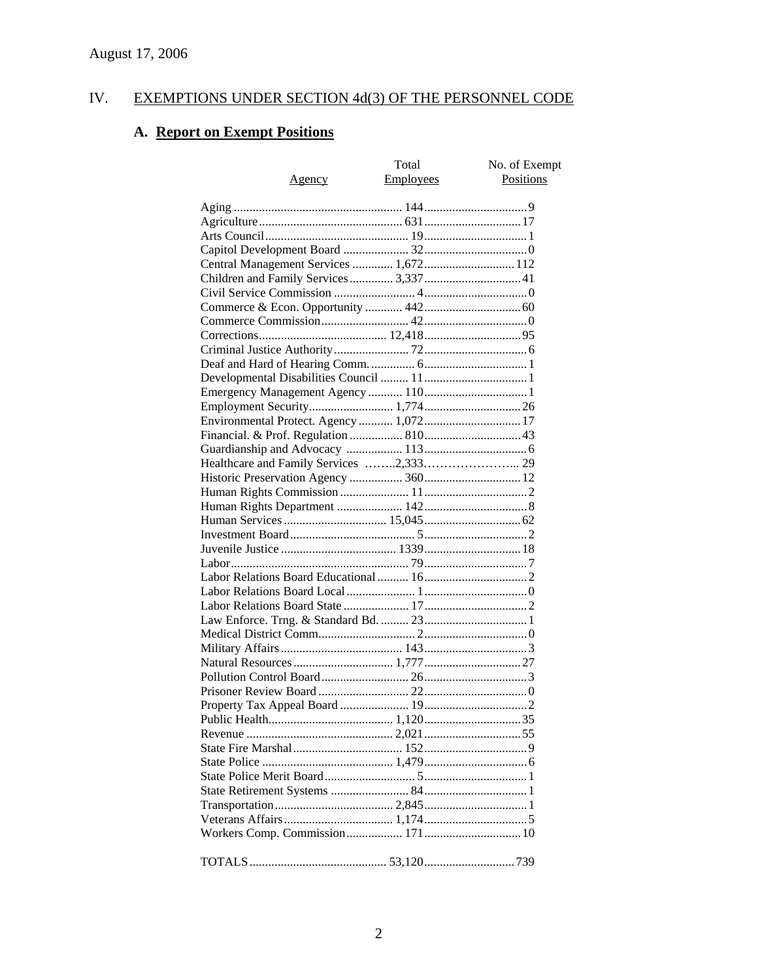# IV. EXEMPTIONS UNDER SECTION 4d(3) OF THE PERSONNEL CODE

# **A. Report on Exempt Positions**

| <u>Agency</u>                           | Total<br><b>Employees</b> | No. of Exempt<br>Positions |
|-----------------------------------------|---------------------------|----------------------------|
|                                         |                           |                            |
|                                         |                           |                            |
|                                         |                           |                            |
|                                         |                           |                            |
| Central Management Services  1,672 112  |                           |                            |
|                                         |                           |                            |
|                                         |                           |                            |
|                                         |                           |                            |
|                                         |                           |                            |
|                                         |                           |                            |
|                                         |                           |                            |
|                                         |                           |                            |
|                                         |                           |                            |
|                                         |                           |                            |
|                                         |                           |                            |
|                                         |                           |                            |
| Environmental Protect. Agency  1,072 17 |                           |                            |
|                                         |                           |                            |
|                                         |                           |                            |
|                                         |                           |                            |
|                                         |                           |                            |
|                                         |                           |                            |
|                                         |                           |                            |
|                                         |                           |                            |
|                                         |                           |                            |
|                                         |                           |                            |
|                                         |                           |                            |
|                                         |                           |                            |
|                                         |                           |                            |
|                                         |                           |                            |
|                                         |                           |                            |
|                                         |                           |                            |
|                                         |                           |                            |
|                                         |                           |                            |
|                                         |                           |                            |
|                                         |                           |                            |
|                                         |                           |                            |
|                                         |                           |                            |
|                                         |                           |                            |
|                                         |                           |                            |
|                                         |                           |                            |
|                                         |                           |                            |
|                                         |                           |                            |
|                                         |                           |                            |
|                                         |                           |                            |
|                                         |                           |                            |
|                                         |                           |                            |
|                                         |                           |                            |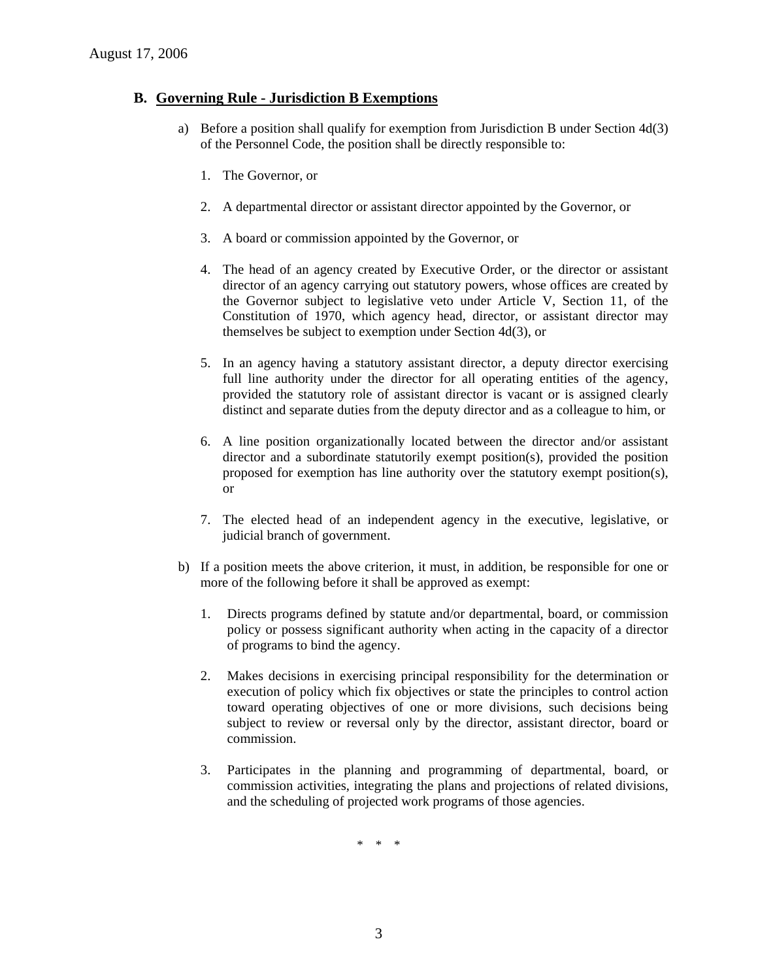# **B. Governing Rule - Jurisdiction B Exemptions**

- a) Before a position shall qualify for exemption from Jurisdiction B under Section 4d(3) of the Personnel Code, the position shall be directly responsible to:
	- 1. The Governor, or
	- 2. A departmental director or assistant director appointed by the Governor, or
	- 3. A board or commission appointed by the Governor, or
	- 4. The head of an agency created by Executive Order, or the director or assistant director of an agency carrying out statutory powers, whose offices are created by the Governor subject to legislative veto under Article V, Section 11, of the Constitution of 1970, which agency head, director, or assistant director may themselves be subject to exemption under Section 4d(3), or
	- 5. In an agency having a statutory assistant director, a deputy director exercising full line authority under the director for all operating entities of the agency, provided the statutory role of assistant director is vacant or is assigned clearly distinct and separate duties from the deputy director and as a colleague to him, or
	- 6. A line position organizationally located between the director and/or assistant director and a subordinate statutorily exempt position(s), provided the position proposed for exemption has line authority over the statutory exempt position(s), or
	- 7. The elected head of an independent agency in the executive, legislative, or judicial branch of government.
- b) If a position meets the above criterion, it must, in addition, be responsible for one or more of the following before it shall be approved as exempt:
	- 1. Directs programs defined by statute and/or departmental, board, or commission policy or possess significant authority when acting in the capacity of a director of programs to bind the agency.
	- 2. Makes decisions in exercising principal responsibility for the determination or execution of policy which fix objectives or state the principles to control action toward operating objectives of one or more divisions, such decisions being subject to review or reversal only by the director, assistant director, board or commission.
	- 3. Participates in the planning and programming of departmental, board, or commission activities, integrating the plans and projections of related divisions, and the scheduling of projected work programs of those agencies.

\* \* \*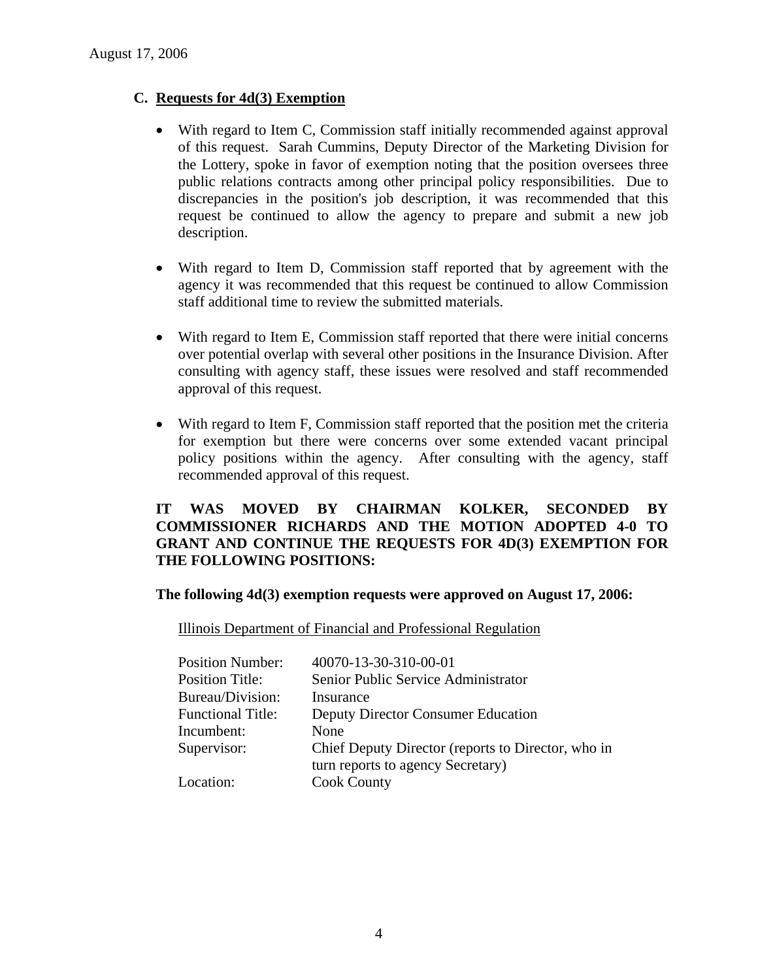# **C. Requests for 4d(3) Exemption**

- With regard to Item C, Commission staff initially recommended against approval of this request. Sarah Cummins, Deputy Director of the Marketing Division for the Lottery, spoke in favor of exemption noting that the position oversees three public relations contracts among other principal policy responsibilities. Due to discrepancies in the position's job description, it was recommended that this request be continued to allow the agency to prepare and submit a new job description.
- With regard to Item D, Commission staff reported that by agreement with the agency it was recommended that this request be continued to allow Commission staff additional time to review the submitted materials.
- With regard to Item E, Commission staff reported that there were initial concerns over potential overlap with several other positions in the Insurance Division. After consulting with agency staff, these issues were resolved and staff recommended approval of this request.
- With regard to Item F, Commission staff reported that the position met the criteria for exemption but there were concerns over some extended vacant principal policy positions within the agency. After consulting with the agency, staff recommended approval of this request.

# **IT WAS MOVED BY CHAIRMAN KOLKER, SECONDED BY COMMISSIONER RICHARDS AND THE MOTION ADOPTED 4-0 TO GRANT AND CONTINUE THE REQUESTS FOR 4D(3) EXEMPTION FOR THE FOLLOWING POSITIONS:**

**The following 4d(3) exemption requests were approved on August 17, 2006:** 

Illinois Department of Financial and Professional Regulation

| <b>Position Number:</b>  | 40070-13-30-310-00-01                              |
|--------------------------|----------------------------------------------------|
| <b>Position Title:</b>   | Senior Public Service Administrator                |
| Bureau/Division:         | Insurance                                          |
| <b>Functional Title:</b> | <b>Deputy Director Consumer Education</b>          |
| Incumbent:               | None                                               |
| Supervisor:              | Chief Deputy Director (reports to Director, who in |
|                          | turn reports to agency Secretary)                  |
| Location:                | <b>Cook County</b>                                 |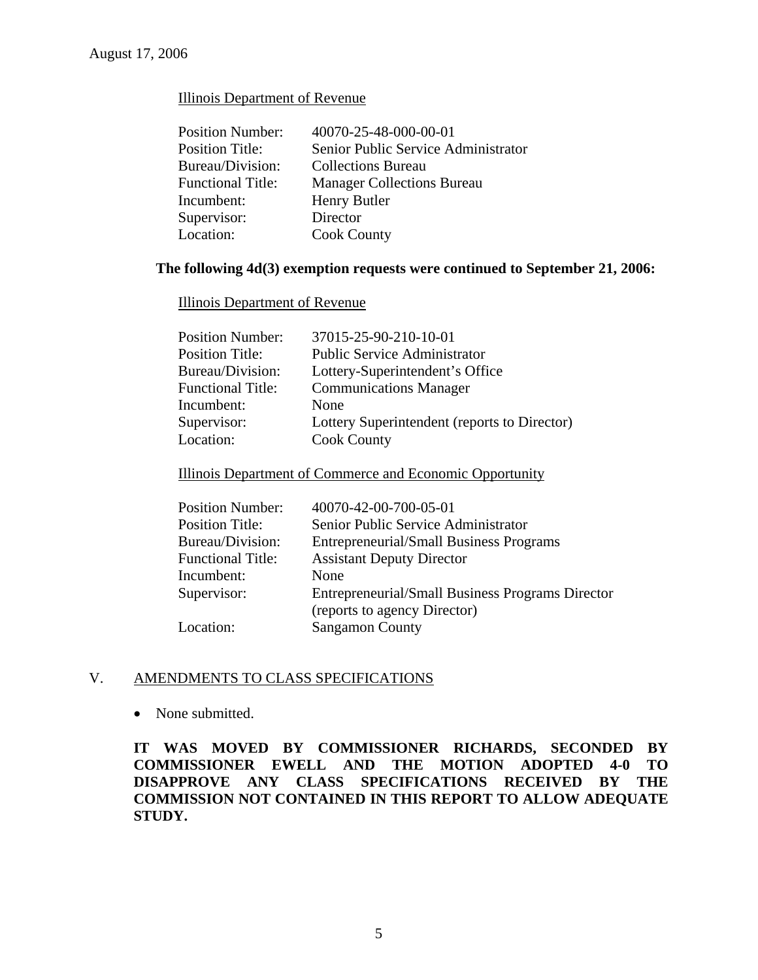# Illinois Department of Revenue

| <b>Position Number:</b>  | 40070-25-48-000-00-01               |
|--------------------------|-------------------------------------|
| <b>Position Title:</b>   | Senior Public Service Administrator |
| Bureau/Division:         | <b>Collections Bureau</b>           |
| <b>Functional Title:</b> | <b>Manager Collections Bureau</b>   |
| Incumbent:               | Henry Butler                        |
| Supervisor:              | Director                            |
| Location:                | <b>Cook County</b>                  |

# **The following 4d(3) exemption requests were continued to September 21, 2006:**

#### Illinois Department of Revenue

| 37015-25-90-210-10-01<br><b>Position Number:</b>              |  |
|---------------------------------------------------------------|--|
| <b>Public Service Administrator</b><br><b>Position Title:</b> |  |
| Lottery-Superintendent's Office<br>Bureau/Division:           |  |
| <b>Communications Manager</b><br><b>Functional Title:</b>     |  |
| Incumbent:<br>None                                            |  |
| Supervisor:<br>Lottery Superintendent (reports to Director)   |  |
| Location:<br><b>Cook County</b>                               |  |

# Illinois Department of Commerce and Economic Opportunity

| <b>Position Number:</b>  | 40070-42-00-700-05-01                            |
|--------------------------|--------------------------------------------------|
| <b>Position Title:</b>   | Senior Public Service Administrator              |
| Bureau/Division:         | <b>Entrepreneurial/Small Business Programs</b>   |
| <b>Functional Title:</b> | <b>Assistant Deputy Director</b>                 |
| Incumbent:               | None                                             |
| Supervisor:              | Entrepreneurial/Small Business Programs Director |
|                          | (reports to agency Director)                     |
| Location:                | <b>Sangamon County</b>                           |
|                          |                                                  |

### V. AMENDMENTS TO CLASS SPECIFICATIONS

• None submitted.

**IT WAS MOVED BY COMMISSIONER RICHARDS, SECONDED BY COMMISSIONER EWELL AND THE MOTION ADOPTED 4-0 TO DISAPPROVE ANY CLASS SPECIFICATIONS RECEIVED BY THE COMMISSION NOT CONTAINED IN THIS REPORT TO ALLOW ADEQUATE STUDY.**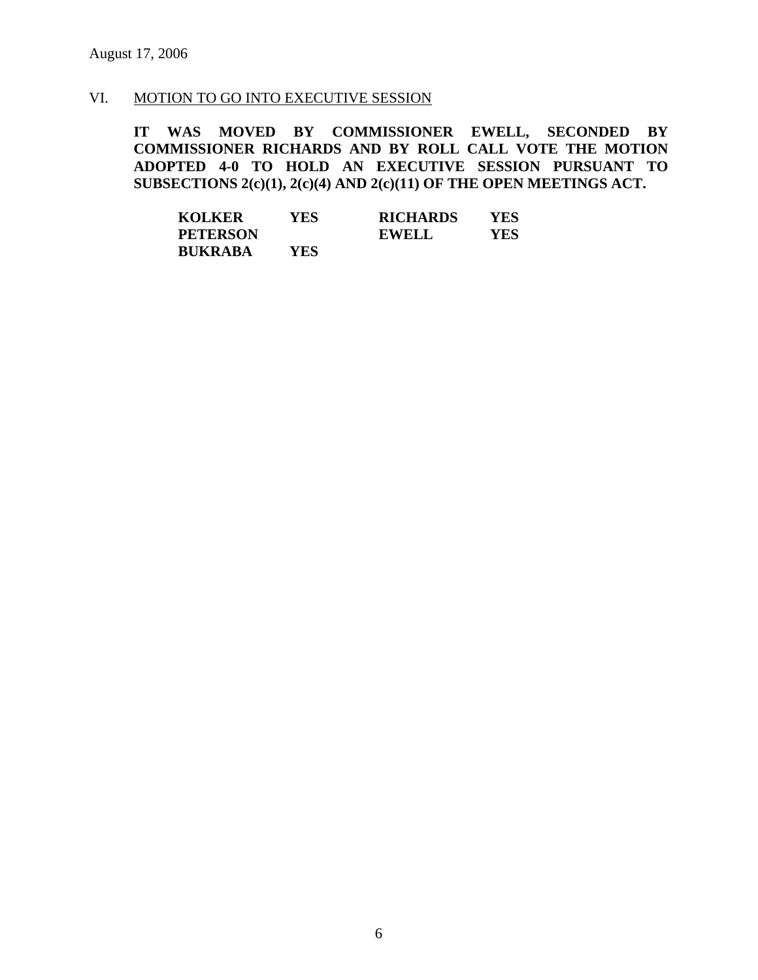# VI. MOTION TO GO INTO EXECUTIVE SESSION

**IT WAS MOVED BY COMMISSIONER EWELL, SECONDED BY COMMISSIONER RICHARDS AND BY ROLL CALL VOTE THE MOTION ADOPTED 4-0 TO HOLD AN EXECUTIVE SESSION PURSUANT TO SUBSECTIONS 2(c)(1), 2(c)(4) AND 2(c)(11) OF THE OPEN MEETINGS ACT.** 

| <b>KOLKER</b>   | <b>YES</b> | <b>RICHARDS</b> | YES |
|-----------------|------------|-----------------|-----|
| <b>PETERSON</b> |            | <b>EWELL</b>    | YES |
| <b>BUKRABA</b>  | YES        |                 |     |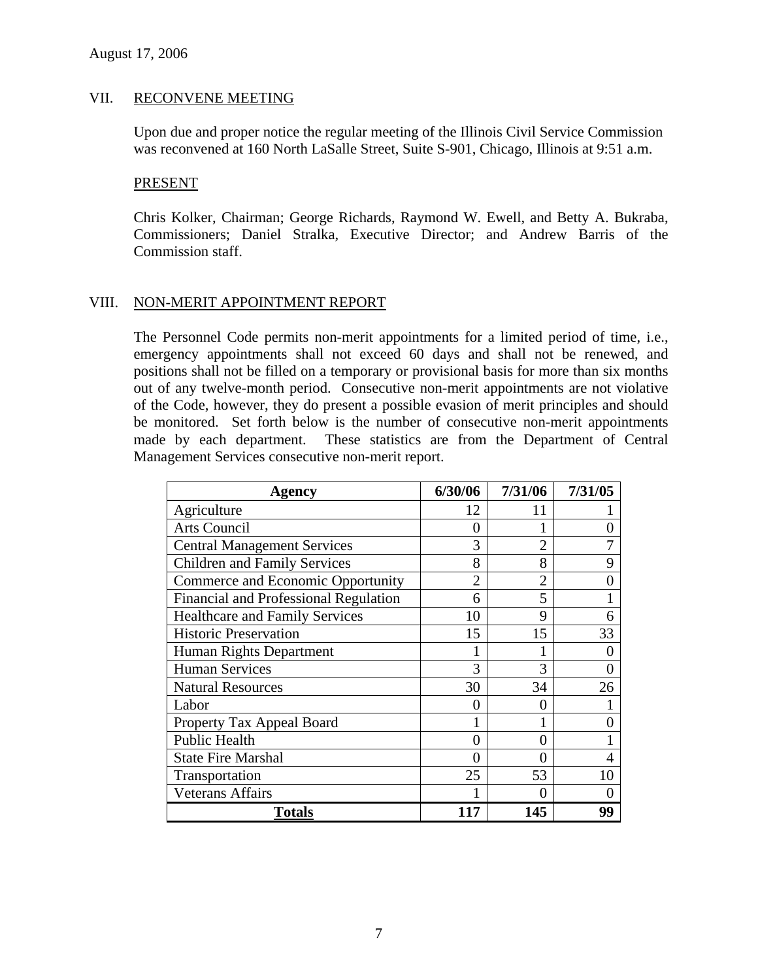#### VII. RECONVENE MEETING

Upon due and proper notice the regular meeting of the Illinois Civil Service Commission was reconvened at 160 North LaSalle Street, Suite S-901, Chicago, Illinois at 9:51 a.m.

#### PRESENT

Chris Kolker, Chairman; George Richards, Raymond W. Ewell, and Betty A. Bukraba, Commissioners; Daniel Stralka, Executive Director; and Andrew Barris of the Commission staff.

### VIII. NON-MERIT APPOINTMENT REPORT

The Personnel Code permits non-merit appointments for a limited period of time, i.e., emergency appointments shall not exceed 60 days and shall not be renewed, and positions shall not be filled on a temporary or provisional basis for more than six months out of any twelve-month period. Consecutive non-merit appointments are not violative of the Code, however, they do present a possible evasion of merit principles and should be monitored. Set forth below is the number of consecutive non-merit appointments made by each department. These statistics are from the Department of Central Management Services consecutive non-merit report.

| <b>Agency</b>                         | 6/30/06        | 7/31/06        | 7/31/05 |
|---------------------------------------|----------------|----------------|---------|
| Agriculture                           | 12             | 11             |         |
| <b>Arts Council</b>                   | $\mathbf{0}$   |                |         |
| <b>Central Management Services</b>    | 3              | $\overline{2}$ | 7       |
| <b>Children and Family Services</b>   | 8              | 8              | 9       |
| Commerce and Economic Opportunity     | $\overline{2}$ | $\overline{2}$ |         |
| Financial and Professional Regulation | 6              | 5              |         |
| <b>Healthcare and Family Services</b> | 10             | 9              | 6       |
| <b>Historic Preservation</b>          | 15             | 15             | 33      |
| Human Rights Department               |                |                |         |
| <b>Human Services</b>                 | 3              | 3              | 0       |
| <b>Natural Resources</b>              | 30             | 34             | 26      |
| Labor                                 |                | 0              |         |
| Property Tax Appeal Board             |                |                |         |
| Public Health                         | 0              | 0              |         |
| <b>State Fire Marshal</b>             | 0              | 0              | 4       |
| Transportation                        | 25             | 53             | 10      |
| <b>Veterans Affairs</b>               |                | 0              |         |
| <b>Totals</b>                         |                | 145            | 99      |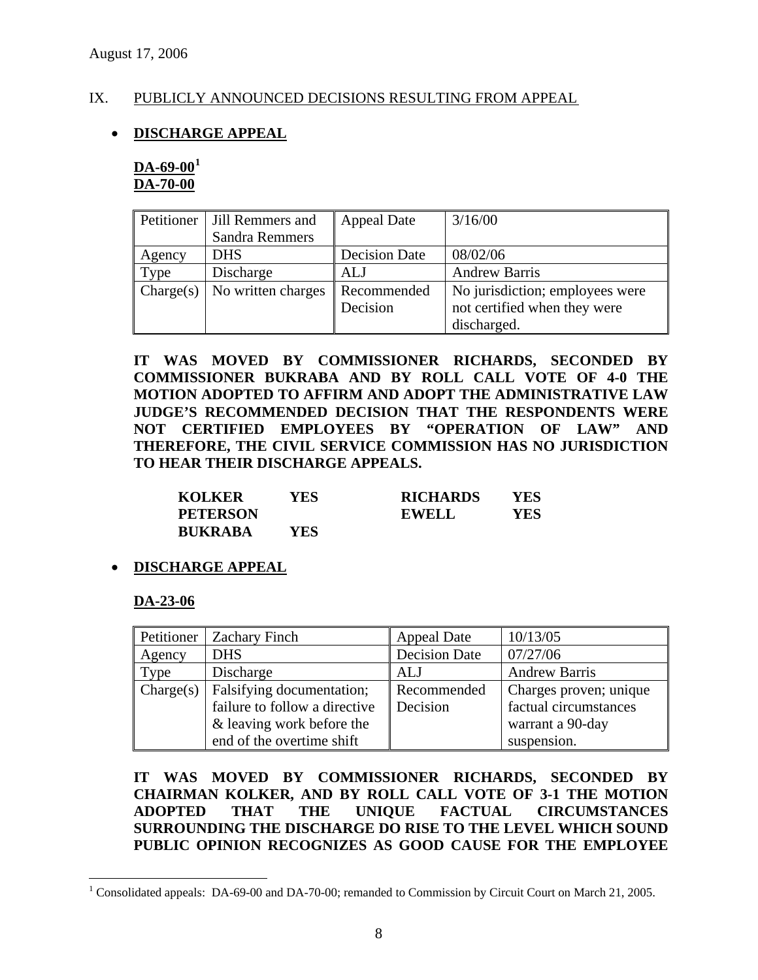# IX. PUBLICLY ANNOUNCED DECISIONS RESULTING FROM APPEAL

# • **DISCHARGE APPEAL**

**DA-69-00[1](#page-7-0) DA-70-00**

|           | Petitioner   Jill Remmers and |                      | 3/16/00                         |
|-----------|-------------------------------|----------------------|---------------------------------|
|           |                               | <b>Appeal Date</b>   |                                 |
|           | Sandra Remmers                |                      |                                 |
| Agency    | <b>DHS</b>                    | <b>Decision Date</b> | 08/02/06                        |
| Type      | Discharge                     | ALJ                  | <b>Andrew Barris</b>            |
| Change(s) | No written charges            | Recommended          | No jurisdiction; employees were |
|           |                               | Decision             | not certified when they were    |
|           |                               |                      | discharged.                     |

**IT WAS MOVED BY COMMISSIONER RICHARDS, SECONDED BY COMMISSIONER BUKRABA AND BY ROLL CALL VOTE OF 4-0 THE MOTION ADOPTED TO AFFIRM AND ADOPT THE ADMINISTRATIVE LAW JUDGE'S RECOMMENDED DECISION THAT THE RESPONDENTS WERE NOT CERTIFIED EMPLOYEES BY "OPERATION OF LAW" AND THEREFORE, THE CIVIL SERVICE COMMISSION HAS NO JURISDICTION TO HEAR THEIR DISCHARGE APPEALS.** 

| <b>KOLKER</b>   | YES | <b>RICHARDS</b> | YES |
|-----------------|-----|-----------------|-----|
| <b>PETERSON</b> |     | <b>EWELL</b>    | YES |
| <b>BUKRABA</b>  | YES |                 |     |

### • **DISCHARGE APPEAL**

**DA-23-06**

|           | Petitioner   Zachary Finch    | <b>Appeal Date</b>   | 10/13/05               |
|-----------|-------------------------------|----------------------|------------------------|
| Agency    | <b>DHS</b>                    | <b>Decision Date</b> | 07/27/06               |
| Type      | Discharge                     | ALJ                  | <b>Andrew Barris</b>   |
| Change(s) | Falsifying documentation;     | Recommended          | Charges proven; unique |
|           | failure to follow a directive | Decision             | factual circumstances  |
|           | & leaving work before the     |                      | warrant a 90-day       |
|           | end of the overtime shift     |                      | suspension.            |

**IT WAS MOVED BY COMMISSIONER RICHARDS, SECONDED BY CHAIRMAN KOLKER, AND BY ROLL CALL VOTE OF 3-1 THE MOTION ADOPTED THAT THE UNIQUE FACTUAL CIRCUMSTANCES SURROUNDING THE DISCHARGE DO RISE TO THE LEVEL WHICH SOUND PUBLIC OPINION RECOGNIZES AS GOOD CAUSE FOR THE EMPLOYEE** 

<span id="page-7-0"></span><sup>&</sup>lt;sup>1</sup> Consolidated appeals: DA-69-00 and DA-70-00; remanded to Commission by Circuit Court on March 21, 2005.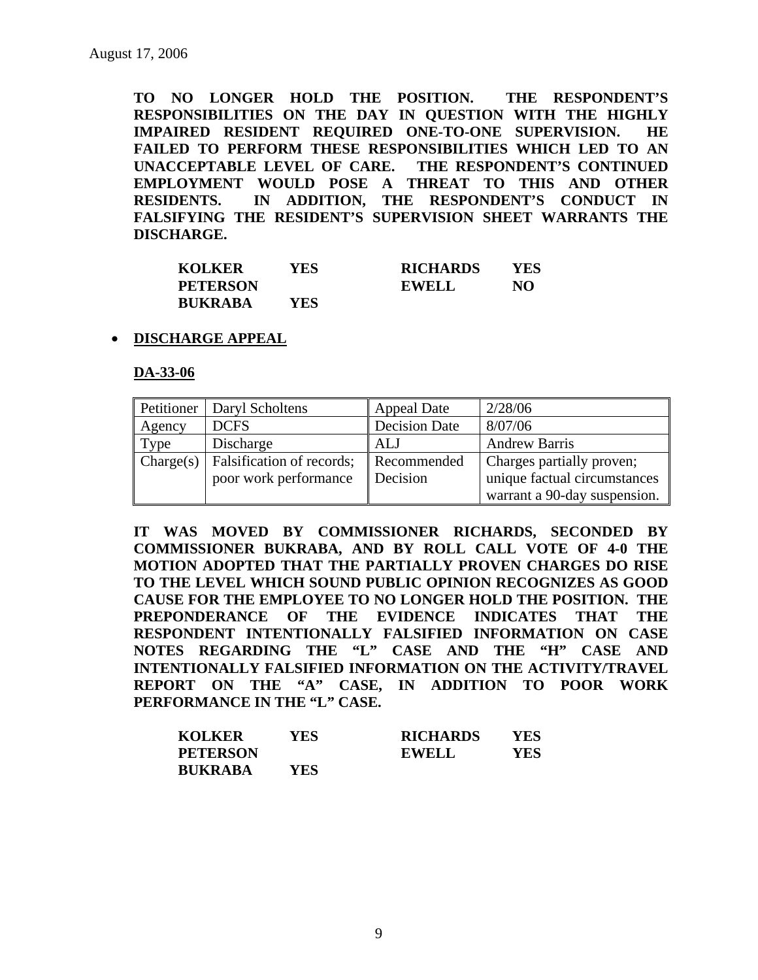**TO NO LONGER HOLD THE POSITION. THE RESPONDENT'S RESPONSIBILITIES ON THE DAY IN QUESTION WITH THE HIGHLY IMPAIRED RESIDENT REQUIRED ONE-TO-ONE SUPERVISION. HE FAILED TO PERFORM THESE RESPONSIBILITIES WHICH LED TO AN UNACCEPTABLE LEVEL OF CARE. THE RESPONDENT'S CONTINUED EMPLOYMENT WOULD POSE A THREAT TO THIS AND OTHER RESIDENTS. IN ADDITION, THE RESPONDENT'S CONDUCT IN FALSIFYING THE RESIDENT'S SUPERVISION SHEET WARRANTS THE DISCHARGE.** 

| <b>KOLKER</b>   | YES | <b>RICHARDS</b> | YES |
|-----------------|-----|-----------------|-----|
| <b>PETERSON</b> |     | <b>EWELL</b>    | NO. |
| <b>BUKRABA</b>  | YES |                 |     |

#### • **DISCHARGE APPEAL**

**DA-33-06**

|           | Petitioner   Daryl Scholtens | <b>Appeal Date</b>   | 2/28/06                      |
|-----------|------------------------------|----------------------|------------------------------|
| Agency    | <b>DCFS</b>                  | <b>Decision Date</b> | 8/07/06                      |
| Type      | Discharge                    | ALJ                  | <b>Andrew Barris</b>         |
| Change(s) | Falsification of records;    | Recommended          | Charges partially proven;    |
|           | poor work performance        | Decision             | unique factual circumstances |
|           |                              |                      | warrant a 90-day suspension. |

**IT WAS MOVED BY COMMISSIONER RICHARDS, SECONDED BY COMMISSIONER BUKRABA, AND BY ROLL CALL VOTE OF 4-0 THE MOTION ADOPTED THAT THE PARTIALLY PROVEN CHARGES DO RISE TO THE LEVEL WHICH SOUND PUBLIC OPINION RECOGNIZES AS GOOD CAUSE FOR THE EMPLOYEE TO NO LONGER HOLD THE POSITION. THE PREPONDERANCE OF THE EVIDENCE INDICATES THAT THE RESPONDENT INTENTIONALLY FALSIFIED INFORMATION ON CASE NOTES REGARDING THE "L" CASE AND THE "H" CASE AND INTENTIONALLY FALSIFIED INFORMATION ON THE ACTIVITY/TRAVEL REPORT ON THE "A" CASE, IN ADDITION TO POOR WORK PERFORMANCE IN THE "L" CASE.** 

| <b>KOLKER</b>   | YES | <b>RICHARDS</b> | YES |
|-----------------|-----|-----------------|-----|
| <b>PETERSON</b> |     | <b>EWELL</b>    | YES |
| <b>BUKRABA</b>  | YES |                 |     |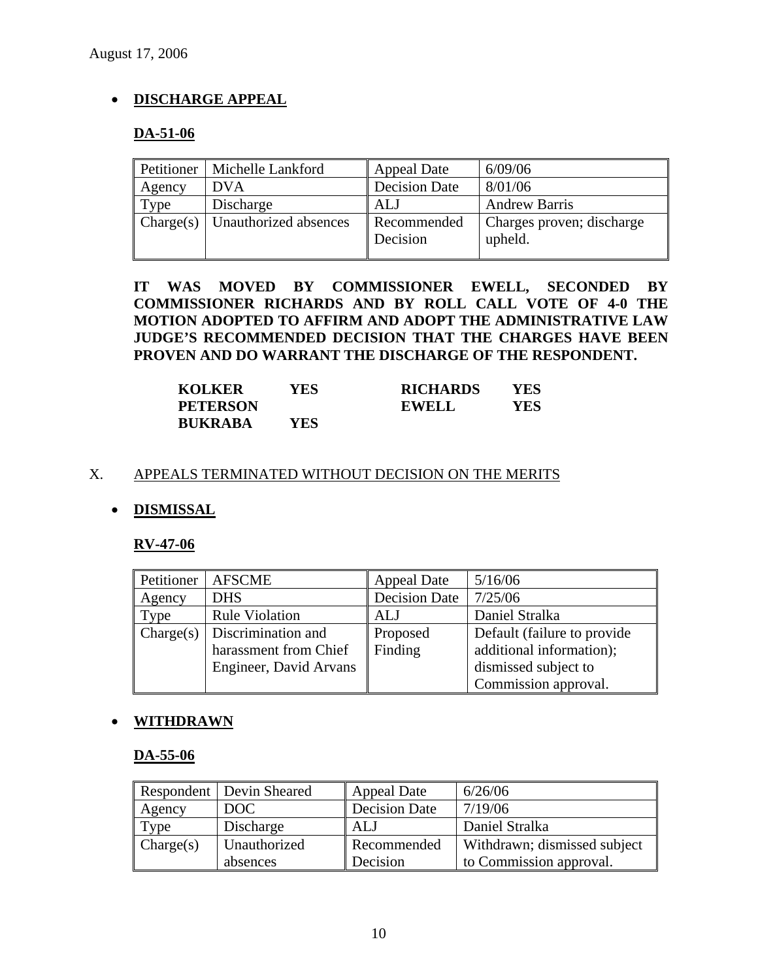# • **DISCHARGE APPEAL**

# **DA-51-06**

| Petitioner | Michelle Lankford                          | <b>Appeal Date</b>      | 6/09/06                              |
|------------|--------------------------------------------|-------------------------|--------------------------------------|
| Agency     | <b>DVA</b>                                 | <b>Decision Date</b>    | 8/01/06                              |
| Type       | Discharge                                  | <b>ALJ</b>              | <b>Andrew Barris</b>                 |
|            | $\Gamma$ Charge(s)   Unauthorized absences | Recommended<br>Decision | Charges proven; discharge<br>upheld. |

**IT WAS MOVED BY COMMISSIONER EWELL, SECONDED BY COMMISSIONER RICHARDS AND BY ROLL CALL VOTE OF 4-0 THE MOTION ADOPTED TO AFFIRM AND ADOPT THE ADMINISTRATIVE LAW JUDGE'S RECOMMENDED DECISION THAT THE CHARGES HAVE BEEN PROVEN AND DO WARRANT THE DISCHARGE OF THE RESPONDENT.** 

| <b>KOLKER</b>   | YES | <b>RICHARDS</b> | YES |
|-----------------|-----|-----------------|-----|
| <b>PETERSON</b> |     | <b>EWELL</b>    | YES |
| <b>BUKRABA</b>  | YES |                 |     |

### X. APPEALS TERMINATED WITHOUT DECISION ON THE MERITS

# • **DISMISSAL**

### **RV-47-06**

| Petitioner | <b>AFSCME</b>          | <b>Appeal Date</b>   | 5/16/06                      |
|------------|------------------------|----------------------|------------------------------|
| Agency     | <b>DHS</b>             | <b>Decision Date</b> | 7/25/06                      |
| Type       | <b>Rule Violation</b>  | <b>ALJ</b>           | Daniel Stralka               |
| Change(s)  | Discrimination and     | Proposed             | Default (failure to provide) |
|            | harassment from Chief  | Finding              | additional information);     |
|            | Engineer, David Arvans |                      | dismissed subject to         |
|            |                        |                      | Commission approval.         |

### • **WITHDRAWN**

### **DA-55-06**

|           | <b>Respondent</b> Devin Sheared | <b>Appeal Date</b>   | 6/26/06                      |
|-----------|---------------------------------|----------------------|------------------------------|
| Agency    | DOC                             | <b>Decision Date</b> | 7/19/06                      |
| Type      | Discharge                       | ALJ                  | Daniel Stralka               |
| Change(s) | Unauthorized                    | Recommended          | Withdrawn; dismissed subject |
|           | absences                        | Decision             | to Commission approval.      |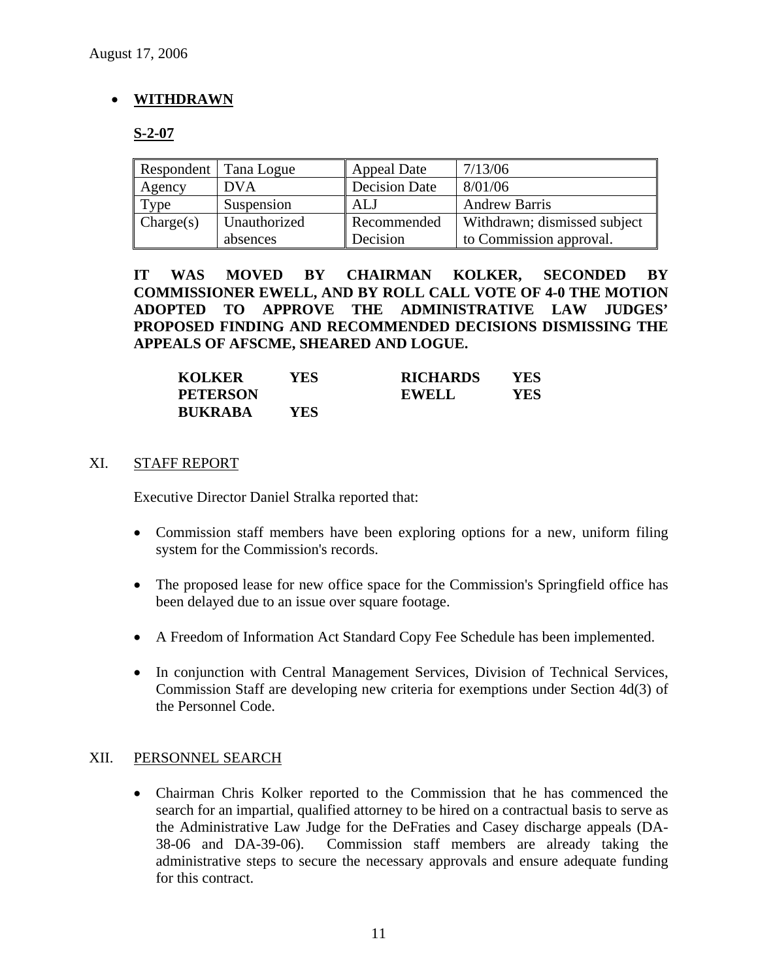# • **WITHDRAWN**

# **S-2-07**

| Respondent   Tana Logue |              | <b>Appeal Date</b>   | 7/13/06                      |
|-------------------------|--------------|----------------------|------------------------------|
| Agency                  | <b>DVA</b>   | <b>Decision Date</b> | 8/01/06                      |
| Type                    | Suspension   | ALJ                  | <b>Andrew Barris</b>         |
| Change(s)               | Unauthorized | Recommended          | Withdrawn; dismissed subject |
|                         | absences     | Decision             | to Commission approval.      |

**IT WAS MOVED BY CHAIRMAN KOLKER, SECONDED BY COMMISSIONER EWELL, AND BY ROLL CALL VOTE OF 4-0 THE MOTION ADOPTED TO APPROVE THE ADMINISTRATIVE LAW JUDGES' PROPOSED FINDING AND RECOMMENDED DECISIONS DISMISSING THE APPEALS OF AFSCME, SHEARED AND LOGUE.** 

| <b>KOLKER</b>   | YES | <b>RICHARDS</b> | YES |
|-----------------|-----|-----------------|-----|
| <b>PETERSON</b> |     | <b>EWELL</b>    | YES |
| <b>BUKRABA</b>  | YES |                 |     |

# XI. STAFF REPORT

Executive Director Daniel Stralka reported that:

- Commission staff members have been exploring options for a new, uniform filing system for the Commission's records.
- The proposed lease for new office space for the Commission's Springfield office has been delayed due to an issue over square footage.
- A Freedom of Information Act Standard Copy Fee Schedule has been implemented.
- In conjunction with Central Management Services, Division of Technical Services, Commission Staff are developing new criteria for exemptions under Section 4d(3) of the Personnel Code.

# XII. PERSONNEL SEARCH

• Chairman Chris Kolker reported to the Commission that he has commenced the search for an impartial, qualified attorney to be hired on a contractual basis to serve as the Administrative Law Judge for the DeFraties and Casey discharge appeals (DA-38-06 and DA-39-06). Commission staff members are already taking the administrative steps to secure the necessary approvals and ensure adequate funding for this contract.